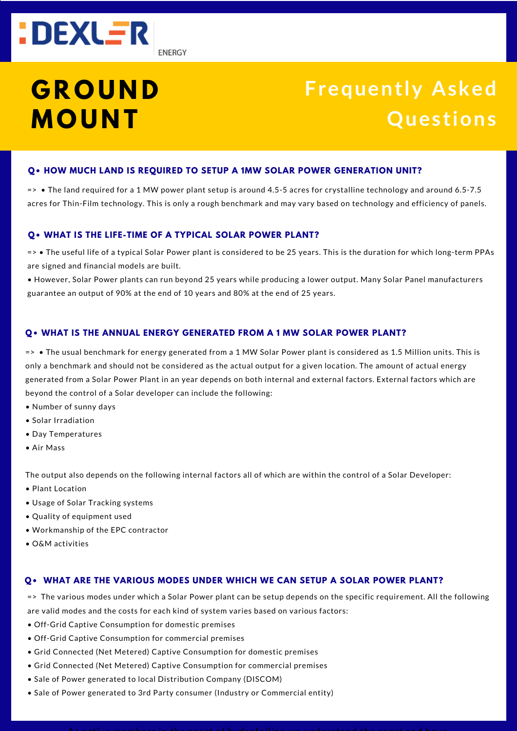

# **Frequently Asked Ques tions**

#### **Q• HOW MUCH LAND IS REQUIRED TO SETUP A 1MW SOLAR POWER GENERATION UNIT?**

=> • The land required for a 1 MW power plant setup is around 4.5-5 acres for crystalline technology and around 6.5-7.5 acres for Thin-Film technology. This is only a rough benchmark and may vary based on technology and efficiency of panels.

#### **Q• WHAT IS THE LIFE-TIME OF A TYPICAL SOLAR POWER PLANT?**

=> • The useful life of a typical Solar Power plant is considered to be 25 years. This is the duration for which long-term PPAs are signed and financial models are built.

• However, Solar Power plants can run beyond 25 years while producing a lower output. Many Solar Panel manufacturers guarantee an output of 90% at the end of 10 years and 80% at the end of 25 years.

#### **Q• WHAT IS THE ANNUAL ENERGY GENERATED FROM A 1 MW SOLAR POWER PLANT?**

=> • The usual benchmark for energy generated from a 1 MW Solar Power plant is considered as 1.5 Million units. This is only a benchmark and should not be considered as the actual output for a given location. The amount of actual energy generated from a Solar Power Plant in an year depends on both internal and external factors. External factors which are beyond the control of a Solar developer can include the following:

- Number of sunny days
- Solar Irradiation
- Day Temperatures
- Air Mass

The output also depends on the following internal factors all of which are within the control of a Solar Developer:

- Plant Location
- Usage of Solar Tracking systems
- Quality of equipment used
- Workmanship of the EPC contractor
- O&M activities

#### **Q• WHAT ARE THE VARIOUS MODES UNDER WHICH WE CAN SETUP A SOLAR POWER PLANT?**

=> The various modes under which a Solar Power plant can be setup depends on the specific requirement. All the following are valid modes and the costs for each kind of system varies based on various factors:

- Off-Grid Captive Consumption for domestic premises
- Off-Grid Captive Consumption for commercial premises
- Grid Connected (Net Metered) Captive Consumption for domestic premises
- Grid Connected (Net Metered) Captive Consumption for commercial premises
- Sale of Power generated to local Distribution Company (DISCOM)
- Sale of Power generated to 3rd Party consumer (Industry or Commercial entity)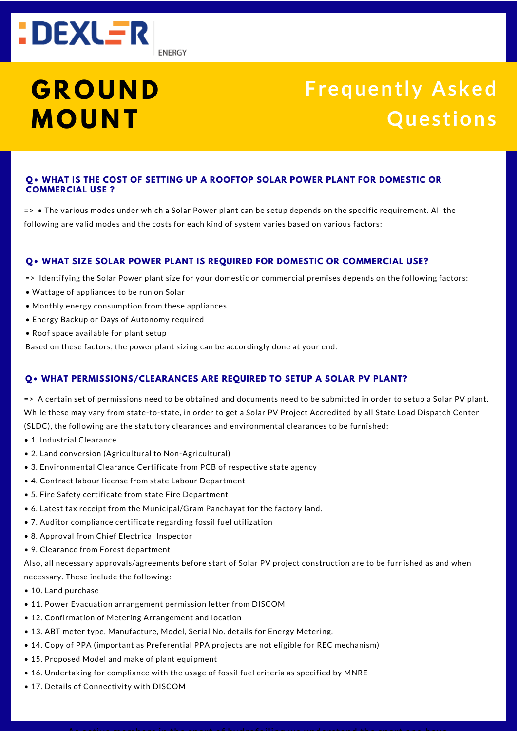

# **Frequently Asked Ques tions**

### **Q• WHAT IS THE COST OF SETTING UP A ROOFTOP SOLAR POWER PLANT FOR DOMESTIC OR COMMERCIAL USE ?**

=> • The various modes under which a Solar Power plant can be setup depends on the specific requirement. All the following are valid modes and the costs for each kind of system varies based on various factors:

#### **Q• WHAT SIZE SOLAR POWER PLANT IS REQUIRED FOR DOMESTIC OR COMMERCIAL USE?**

=> Identifying the Solar Power plant size for your domestic or commercial premises depends on the following factors:

- Wattage of appliances to be run on Solar
- Monthly energy consumption from these appliances
- Energy Backup or Days of Autonomy required
- Roof space available for plant setup

Based on these factors, the power plant sizing can be accordingly done at your end.

#### **Q• WHAT PERMISSIONS/CLEARANCES ARE REQUIRED TO SETUP A SOLAR PV PLANT?**

=> A certain set of permissions need to be obtained and documents need to be submitted in order to setup a Solar PV plant. While these may vary from state-to-state, in order to get a Solar PV Project Accredited by all State Load Dispatch Center (SLDC), the following are the statutory clearances and environmental clearances to be furnished:

- 1. Industrial Clearance
- 2. Land conversion (Agricultural to Non-Agricultural)
- 3. Environmental Clearance Certificate from PCB of respective state agency
- 4. Contract labour license from state Labour Department
- 5. Fire Safety certificate from state Fire Department
- 6. Latest tax receipt from the Municipal/Gram Panchayat for the factory land.
- 7. Auditor compliance certificate regarding fossil fuel utilization
- 8. Approval from Chief Electrical Inspector
- 9. Clearance from Forest department

Also, all necessary approvals/agreements before start of Solar PV project construction are to be furnished as and when necessary. These include the following:

- 10. Land purchase
- 11. Power Evacuation arrangement permission letter from DISCOM
- 12. Confirmation of Metering Arrangement and location
- 13. ABT meter type, Manufacture, Model, Serial No. details for Energy Metering.
- 14. Copy of PPA (important as Preferential PPA projects are not eligible for REC mechanism)
- 15. Proposed Model and make of plant equipment
- 16. Undertaking for compliance with the usage of fossil fuel criteria as specified by MNRE
- 17. Details of Connectivity with DISCOM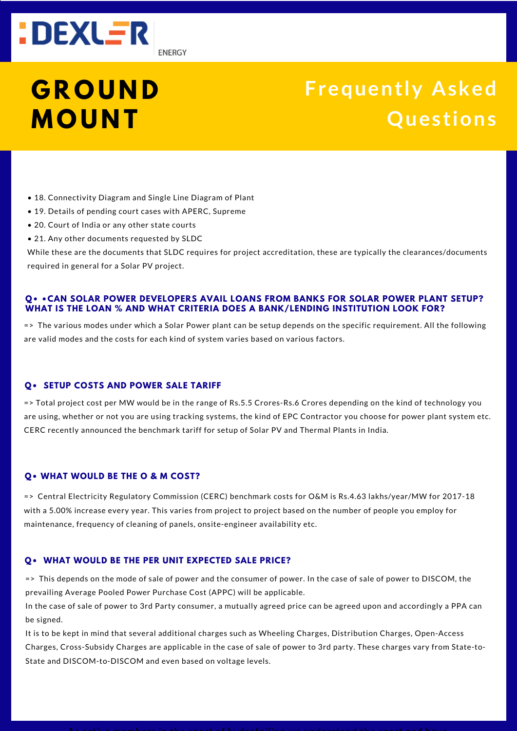

# **Frequently Asked Ques tions**

- 18. Connectivity Diagram and Single Line Diagram of Plant
- 19. Details of pending court cases with APERC, Supreme
- 20. Court of India or any other state courts
- 21. Any other documents requested by SLDC

While these are the documents that SLDC requires for project accreditation, these are typically the clearances/documents required in general for a Solar PV project.

#### **Q• •CAN SOLAR POWER DEVELOPERS AVAIL LOANS FROM BANKS FOR SOLAR POWER PLANT SETUP? WHAT IS THE LOAN % AND WHAT CRITERIA DOES A BANK/LENDING INSTITUTION LOOK FOR?**

=> The various modes under which a Solar Power plant can be setup depends on the specific requirement. All the following are valid modes and the costs for each kind of system varies based on various factors.

### **Q• SETUP COSTS AND POWER SALE TARIFF**

=> Total project cost per MW would be in the range of Rs.5.5 Crores-Rs.6 Crores depending on the kind of technology you are using, whether or not you are using tracking systems, the kind of EPC Contractor you choose for power plant system etc. CERC recently announced the benchmark tariff for setup of Solar PV and Thermal Plants in India.

### **Q• WHAT WOULD BE THE O & M COST?**

=> Central Electricity Regulatory Commission (CERC) benchmark costs for O&M is Rs.4.63 lakhs/year/MW for 2017-18 with a 5.00% increase every year. This varies from project to project based on the number of people you employ for maintenance, frequency of cleaning of panels, onsite-engineer availability etc.

#### **Q• WHAT WOULD BE THE PER UNIT EXPECTED SALE PRICE?**

=> This depends on the mode of sale of power and the consumer of power. In the case of sale of power to DISCOM, the prevailing Average Pooled Power Purchase Cost (APPC) will be applicable.

In the case of sale of power to 3rd Party consumer, a mutually agreed price can be agreed upon and accordingly a PPA can be signed.

It is to be kept in mind that several additional charges such as Wheeling Charges, Distribution Charges, Open-Access Charges, Cross-Subsidy Charges are applicable in the case of sale of power to 3rd party. These charges vary from State-to-State and DISCOM-to-DISCOM and even based on voltage levels.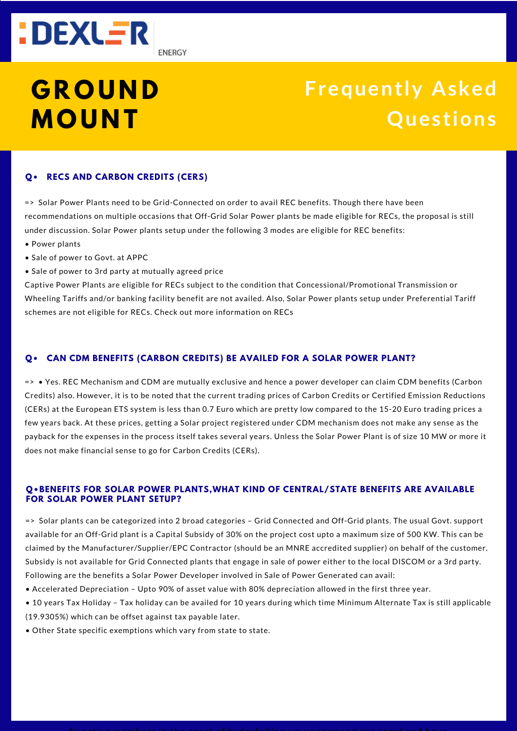

**ENERGY** 

# **G R O U N D M O U N T**

# **Frequently Asked Ques tions**

## **Q• RECS AND CARBON CREDITS (CERS)**

=> Solar Power Plants need to be Grid-Connected on order to avail REC benefits. Though there have been recommendations on multiple occasions that Off-Grid Solar Power plants be made eligible for RECs, the proposal is still under discussion. Solar Power plants setup under the following 3 modes are eligible for REC benefits:

- Power plants
- Sale of power to Govt. at APPC
- Sale of power to 3rd party at mutually agreed price

Captive Power Plants are eligible for RECs subject to the condition that Concessional/Promotional Transmission or Wheeling Tariffs and/or banking facility benefit are not availed. Also, Solar Power plants setup under Preferential Tariff schemes are not eligible for RECs. Check out more information on RECs

### **Q• CAN CDM BENEFITS (CARBON CREDITS) BE AVAILED FOR A SOLAR POWER PLANT?**

=> • Yes. REC Mechanism and CDM are mutually exclusive and hence a power developer can claim CDM benefits (Carbon Credits) also. However, it is to be noted that the current trading prices of Carbon Credits or Certified Emission Reductions (CERs) at the European ETS system is less than 0.7 Euro which are pretty low compared to the 15-20 Euro trading prices a few years back. At these prices, getting a Solar project registered under CDM mechanism does not make any sense as the payback for the expenses in the process itself takes several years. Unless the Solar Power Plant is of size 10 MW or more it does not make financial sense to go for Carbon Credits (CERs).

### **Q•BENEFITS FOR SOLAR POWER PLANTS,WHAT KIND OF CENTRAL/STATE BENEFITS ARE AVAILABLE FOR SOLAR POWER PLANT SETUP?**

=> Solar plants can be categorized into 2 broad categories – Grid Connected and Off-Grid plants. The usual Govt. support available for an Off-Grid plant is a Capital Subsidy of 30% on the project cost upto a maximum size of 500 KW. This can be claimed by the Manufacturer/Supplier/EPC Contractor (should be an MNRE accredited supplier) on behalf of the customer. Subsidy is not available for Grid Connected plants that engage in sale of power either to the local DISCOM or a 3rd party. Following are the benefits a Solar Power Developer involved in Sale of Power Generated can avail:

- Accelerated Depreciation Upto 90% of asset value with 80% depreciation allowed in the first three year.
- 10 years Tax Holiday Tax holiday can be availed for 10 years during which time Minimum Alternate Tax is still applicable (19.9305%) which can be offset against tax payable later.
- Other State specific exemptions which vary from state to state.